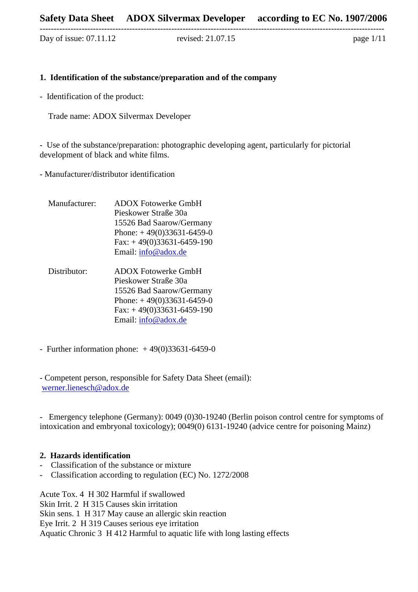Day of issue: 07.11.12 revised: 21.07.15 page 1/11

#### **1. Identification of the substance/preparation and of the company**

---------------------------------------------------------------------------------------------------------------------------

- Identification of the product:

Trade name: ADOX Silvermax Developer

- Use of the substance/preparation: photographic developing agent, particularly for pictorial development of black and white films.

- Manufacturer/distributor identification

- Manufacturer: ADOX Fotowerke GmbH Pieskower Straße 30a 15526 Bad Saarow/Germany Phone:  $+49(0)33631-6459-0$  $Fax: +49(0)33631-6459-190$ Email: [info@adox.de](mailto:schain@spur-photo.com)
- Distributor: ADOX Fotowerke GmbH Pieskower Straße 30a 15526 Bad Saarow/Germany Phone:  $+49(0)33631-6459-0$  $Fax: +49(0)33631-6459-190$ Email: [info@adox.de](mailto:schain@spur-photo.com)
- Further information phone:  $+49(0)33631-6459-0$

- Competent person, responsible for Safety Data Sheet (email): [werner.lienesch@adox.de](mailto:werner.lienesch@adox.de) 

- Emergency telephone (Germany): 0049 (0)30-19240 (Berlin poison control centre for symptoms of intoxication and embryonal toxicology); 0049(0) 6131-19240 (advice centre for poisoning Mainz)

# **2. Hazards identification**

- Classification of the substance or mixture
- Classification according to regulation (EC) No. 1272/2008

Acute Tox. 4 H 302 Harmful if swallowed Skin Irrit. 2 H 315 Causes skin irritation Skin sens. 1 H 317 May cause an allergic skin reaction Eye Irrit. 2 H 319 Causes serious eye irritation Aquatic Chronic 3 H 412 Harmful to aquatic life with long lasting effects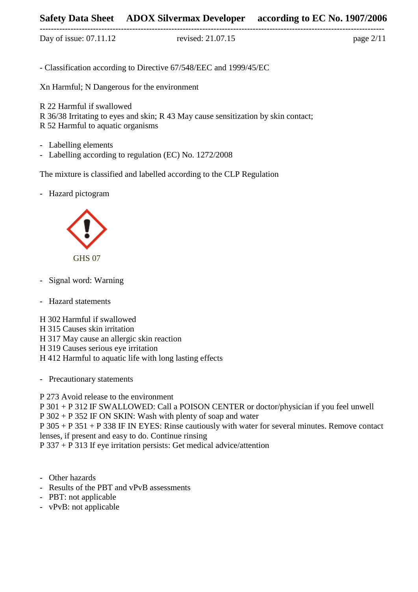# **Safety Data Sheet ADOX Silvermax Developer according to EC No. 1907/2006**

--------------------------------------------------------------------------------------------------------------------------- Day of issue: 07.11.12 revised: 21.07.15 page 2/11

- Classification according to Directive 67/548/EEC and 1999/45/EC

Xn Harmful; N Dangerous for the environment

R 22 Harmful if swallowed R 36/38 Irritating to eyes and skin; R 43 May cause sensitization by skin contact; R 52 Harmful to aquatic organisms

- Labelling elements
- Labelling according to regulation (EC) No. 1272/2008

The mixture is classified and labelled according to the CLP Regulation

- Hazard pictogram



- Signal word: Warning
- Hazard statements

H 302 Harmful if swallowed H 315 Causes skin irritation H 317 May cause an allergic skin reaction H 319 Causes serious eye irritation H 412 Harmful to aquatic life with long lasting effects

- Precautionary statements

P 273 Avoid release to the environment

P 301 + P 312 IF SWALLOWED: Call a POISON CENTER or doctor/physician if you feel unwell P 302 + P 352 IF ON SKIN: Wash with plenty of soap and water P 305 + P 351 + P 338 IF IN EYES: Rinse cautiously with water for several minutes. Remove contact lenses, if present and easy to do. Continue rinsing

P 337 + P 313 If eye irritation persists: Get medical advice/attention

- Other hazards
- Results of the PBT and vPvB assessments
- PBT: not applicable
- vPvB: not applicable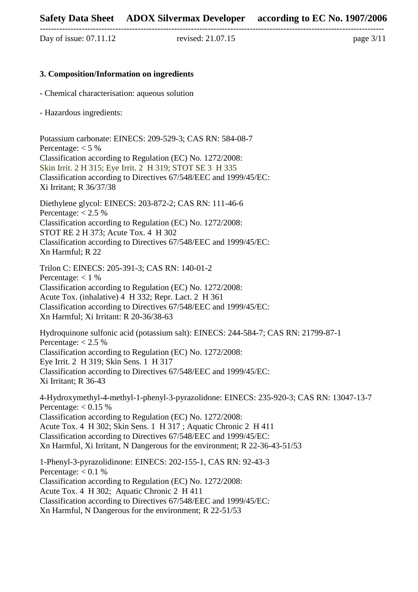Day of issue: 07.11.12 revised: 21.07.15 page 3/11

#### **3. Composition/Information on ingredients**

- Chemical characterisation: aqueous solution

- Hazardous ingredients:

Potassium carbonate: EINECS: 209-529-3; CAS RN: 584-08-7 Percentage:  $< 5\%$ Classification according to Regulation (EC) No. 1272/2008: Skin Irrit. 2 H 315; Eye Irrit. 2 H 319; STOT SE 3 H 335 Classification according to Directives 67/548/EEC and 1999/45/EC: Xi Irritant; R 36/37/38 Diethylene glycol: EINECS: 203-872-2; CAS RN: 111-46-6

Percentage:  $< 2.5 \%$ Classification according to Regulation (EC) No. 1272/2008: STOT RE 2 H 373; Acute Tox. 4 H 302 Classification according to Directives 67/548/EEC and 1999/45/EC: Xn Harmful; R 22

Trilon C: EINECS: 205-391-3; CAS RN: 140-01-2 Percentage:  $< 1\%$ Classification according to Regulation (EC) No. 1272/2008: Acute Tox. (inhalative) 4 H 332; Repr. Lact. 2 H 361 Classification according to Directives 67/548/EEC and 1999/45/EC: Xn Harmful; Xi Irritant: R 20-36/38-63

Hydroquinone sulfonic acid (potassium salt): EINECS: 244-584-7; CAS RN: 21799-87-1 Percentage:  $< 2.5 \%$ Classification according to Regulation (EC) No. 1272/2008: Eye Irrit. 2 H 319; Skin Sens. 1 H 317 Classification according to Directives 67/548/EEC and 1999/45/EC: Xi Irritant; R 36-43

4-Hydroxymethyl-4-methyl-1-phenyl-3-pyrazolidone: EINECS: 235-920-3; CAS RN: 13047-13-7 Percentage:  $< 0.15 \%$ Classification according to Regulation (EC) No. 1272/2008: Acute Tox. 4 H 302; Skin Sens. 1 H 317 ; Aquatic Chronic 2 H 411 Classification according to Directives 67/548/EEC and 1999/45/EC: Xn Harmful, Xi Irritant, N Dangerous for the environment; R 22-36-43-51/53 1-Phenyl-3-pyrazolidinone: EINECS: 202-155-1, CAS RN: 92-43-3 Percentage:  $< 0.1 %$ Classification according to Regulation (EC) No. 1272/2008:

Acute Tox. 4 H 302; Aquatic Chronic 2 H 411

Classification according to Directives 67/548/EEC and 1999/45/EC:

Xn Harmful, N Dangerous for the environment; R 22-51/53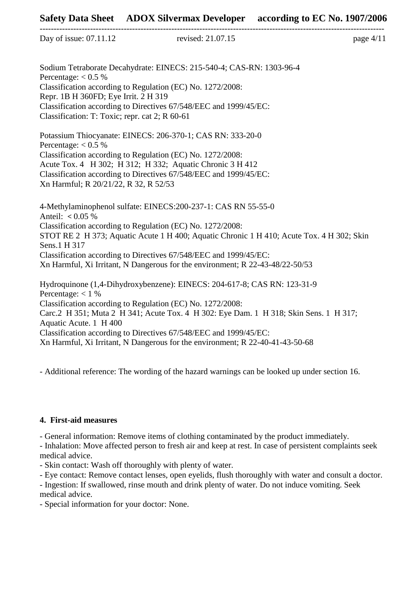|  | Day of issue: 07.11.12 |
|--|------------------------|
|  |                        |

revised:  $21.07.15$  page  $4/11$ 

Sodium Tetraborate Decahydrate: EINECS: 215-540-4; CAS-RN: 1303-96-4 Percentage:  $< 0.5 \%$ Classification according to Regulation (EC) No. 1272/2008: Repr. 1B H 360FD; Eye Irrit. 2 H 319 Classification according to Directives 67/548/EEC and 1999/45/EC: Classification: T: Toxic; repr. cat 2; R 60-61

---------------------------------------------------------------------------------------------------------------------------

Potassium Thiocyanate: EINECS: 206-370-1; CAS RN: 333-20-0 Percentage:  $< 0.5 \%$ Classification according to Regulation (EC) No. 1272/2008: Acute Tox. 4 H 302; H 312; H 332; Aquatic Chronic 3 H 412 Classification according to Directives 67/548/EEC and 1999/45/EC: Xn Harmful; R 20/21/22, R 32, R 52/53

4-Methylaminophenol sulfate: EINECS:200-237-1: CAS RN 55-55-0 Anteil: **<** 0.05 % Classification according to Regulation (EC) No. 1272/2008: STOT RE 2 H 373; Aquatic Acute 1 H 400; Aquatic Chronic 1 H 410; Acute Tox. 4 H 302; Skin Sens.1 H 317 Classification according to Directives 67/548/EEC and 1999/45/EC: Xn Harmful, Xi Irritant, N Dangerous for the environment; R 22-43-48/22-50/53 Hydroquinone (1,4-Dihydroxybenzene): EINECS: 204-617-8; CAS RN: 123-31-9

Percentage:  $< 1 \%$ Classification according to Regulation (EC) No. 1272/2008: Carc.2 H 351; Muta 2 H 341; Acute Tox. 4 H 302: Eye Dam. 1 H 318; Skin Sens. 1 H 317; Aquatic Acute. 1 H 400 Classification according to Directives 67/548/EEC and 1999/45/EC: Xn Harmful, Xi Irritant, N Dangerous for the environment; R 22-40-41-43-50-68

- Additional reference: The wording of the hazard warnings can be looked up under section 16.

#### **4. First-aid measures**

- General information: Remove items of clothing contaminated by the product immediately.

- Inhalation: Move affected person to fresh air and keep at rest. In case of persistent complaints seek medical advice.

- Skin contact: Wash off thoroughly with plenty of water.

- Eye contact: Remove contact lenses, open eyelids, flush thoroughly with water and consult a doctor.

- Ingestion: If swallowed, rinse mouth and drink plenty of water. Do not induce vomiting. Seek medical advice.

- Special information for your doctor: None.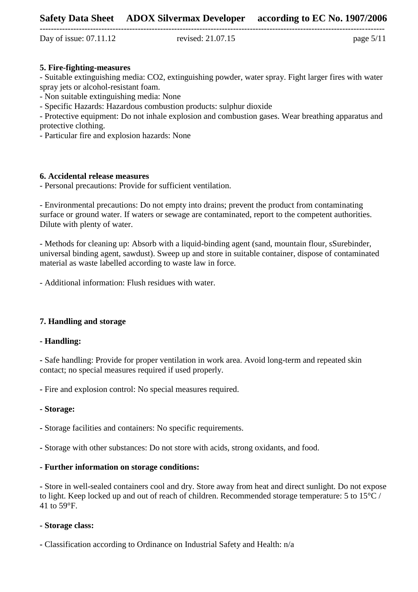Day of issue: 07.11.12 revised: 21.07.15 page 5/11

---------------------------------------------------------------------------------------------------------------------------

### **5. Fire-fighting-measures**

- Suitable extinguishing media: CO2, extinguishing powder, water spray. Fight larger fires with water spray jets or alcohol-resistant foam.

- Non suitable extinguishing media: None

- Specific Hazards: Hazardous combustion products: sulphur dioxide

- Protective equipment: Do not inhale explosion and combustion gases. Wear breathing apparatus and protective clothing.

- Particular fire and explosion hazards: None

### **6. Accidental release measures**

- Personal precautions: Provide for sufficient ventilation.

- Environmental precautions: Do not empty into drains; prevent the product from contaminating surface or ground water. If waters or sewage are contaminated, report to the competent authorities. Dilute with plenty of water.

- Methods for cleaning up: Absorb with a liquid-binding agent (sand, mountain flour, sSurebinder, universal binding agent, sawdust). Sweep up and store in suitable container, dispose of contaminated material as waste labelled according to waste law in force.

- Additional information: Flush residues with water.

# **7. Handling and storage**

#### **- Handling:**

**-** Safe handling: Provide for proper ventilation in work area. Avoid long-term and repeated skin contact; no special measures required if used properly.

**-** Fire and explosion control: No special measures required.

#### **- Storage:**

**-** Storage facilities and containers: No specific requirements.

**-** Storage with other substances: Do not store with acids, strong oxidants, and food.

# **- Further information on storage conditions:**

**-** Store in well-sealed containers cool and dry. Store away from heat and direct sunlight. Do not expose to light. Keep locked up and out of reach of children. Recommended storage temperature: 5 to 15°C / 41 to 59°F.

#### **- Storage class:**

**-** Classification according to Ordinance on Industrial Safety and Health: n/a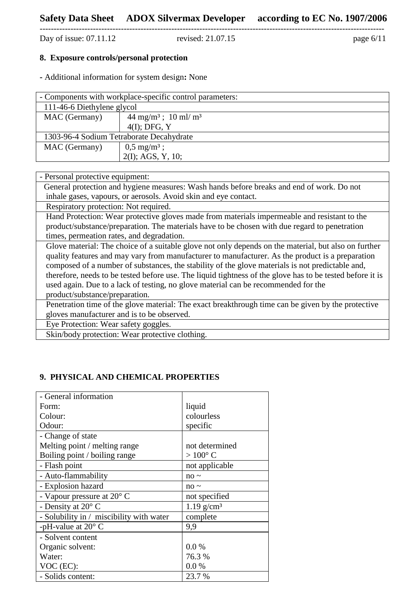Day of issue:  $07.11.12$ 

---------------------------------------------------------------------------------------------------------------------------

# **8. Exposure controls/personal protection**

**-** Additional information for system design**:** None

| - Components with workplace-specific control parameters: |                                           |  |
|----------------------------------------------------------|-------------------------------------------|--|
| 111-46-6 Diethylene glycol                               |                                           |  |
| MAC (Germany)                                            | $44 \text{ mg/m}^3$ ; $10 \text{ ml/m}^3$ |  |
|                                                          | $4(I)$ ; DFG, Y                           |  |
| 1303-96-4 Sodium Tetraborate Decahydrate                 |                                           |  |
| MAC (Germany)                                            | $0,5 \text{ mg/m}^3$ ;                    |  |
|                                                          | $2(I)$ ; AGS, Y, 10;                      |  |

| - Personal protective equipment:                                                                                                                                                                                                                                                                                                                                                                                                                                                                                                                  |  |
|---------------------------------------------------------------------------------------------------------------------------------------------------------------------------------------------------------------------------------------------------------------------------------------------------------------------------------------------------------------------------------------------------------------------------------------------------------------------------------------------------------------------------------------------------|--|
| General protection and hygiene measures: Wash hands before breaks and end of work. Do not                                                                                                                                                                                                                                                                                                                                                                                                                                                         |  |
| inhale gases, vapours, or aerosols. Avoid skin and eye contact.                                                                                                                                                                                                                                                                                                                                                                                                                                                                                   |  |
| Respiratory protection: Not required.                                                                                                                                                                                                                                                                                                                                                                                                                                                                                                             |  |
| Hand Protection: Wear protective gloves made from materials impermeable and resistant to the                                                                                                                                                                                                                                                                                                                                                                                                                                                      |  |
| product/substance/preparation. The materials have to be chosen with due regard to penetration                                                                                                                                                                                                                                                                                                                                                                                                                                                     |  |
| times, permeation rates, and degradation.                                                                                                                                                                                                                                                                                                                                                                                                                                                                                                         |  |
| Glove material: The choice of a suitable glove not only depends on the material, but also on further<br>quality features and may vary from manufacturer to manufacturer. As the product is a preparation<br>composed of a number of substances, the stability of the glove materials is not predictable and,<br>therefore, needs to be tested before use. The liquid tightness of the glove has to be tested before it is<br>used again. Due to a lack of testing, no glove material can be recommended for the<br>product/substance/preparation. |  |
| Penetration time of the glove material: The exact breakthrough time can be given by the protective                                                                                                                                                                                                                                                                                                                                                                                                                                                |  |
| gloves manufacturer and is to be observed.                                                                                                                                                                                                                                                                                                                                                                                                                                                                                                        |  |
| Eye Protection: Wear safety goggles.                                                                                                                                                                                                                                                                                                                                                                                                                                                                                                              |  |
| Skin/body protection: Wear protective clothing.                                                                                                                                                                                                                                                                                                                                                                                                                                                                                                   |  |

# **9. PHYSICAL AND CHEMICAL PROPERTIES**

| - General information                    |                          |
|------------------------------------------|--------------------------|
| Form:                                    | liquid                   |
| Colour:                                  | colourless               |
| Odour:                                   | specific                 |
| - Change of state                        |                          |
| Melting point / melting range            | not determined           |
| Boiling point / boiling range            | $>100^{\circ}$ C         |
| - Flash point                            | not applicable           |
| - Auto-flammability                      | $no \sim$                |
| - Explosion hazard                       | $no \sim$                |
| - Vapour pressure at $20^{\circ}$ C      | not specified            |
| - Density at $20^{\circ}$ C              | $1.19$ g/cm <sup>3</sup> |
| - Solubility in / miscibility with water | complete                 |
| -pH-value at $20^{\circ}$ C              | 9,9                      |
| - Solvent content                        |                          |
| Organic solvent:                         | 0.0 %                    |
| Water:                                   | 76.3 %                   |
| VOC (EC):                                | 0.0 %                    |
| - Solids content:                        | 23.7 %                   |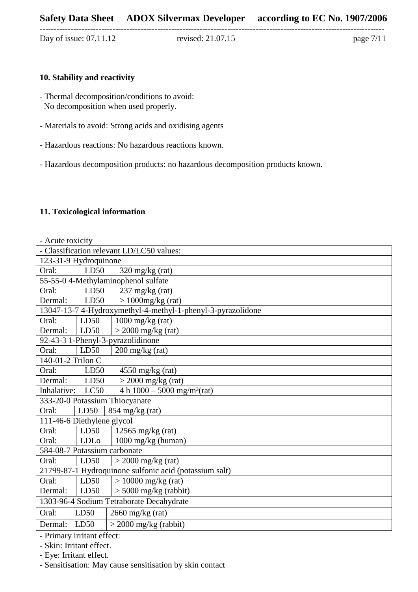Day of issue: 07.11.12 revised: 21.07.15 page 7/11

---------------------------------------------------------------------------------------------------------------------------

#### **10. Stability and reactivity**

- Thermal decomposition/conditions to avoid: No decomposition when used properly.
- Materials to avoid: Strong acids and oxidising agents
- Hazardous reactions: No hazardous reactions known.
- Hazardous decomposition products: no hazardous decomposition products known.

#### **11. Toxicological information**

| - Acute toxicity                                            |                            |                                                        |
|-------------------------------------------------------------|----------------------------|--------------------------------------------------------|
|                                                             |                            | - Classification relevant LD/LC50 values:              |
|                                                             | 123-31-9 Hydroquinone      |                                                        |
| Oral:                                                       | LD50                       | $320 \text{ mg/kg}$ (rat)                              |
|                                                             |                            | 55-55-0 4-Methylaminophenol sulfate                    |
| Oral:                                                       | LD50                       | $237 \text{ mg/kg}$ (rat)                              |
| Dermal:                                                     | LD50                       | $>1000$ mg/kg (rat)                                    |
| 13047-13-7 4-Hydroxymethyl-4-methyl-1-phenyl-3-pyrazolidone |                            |                                                        |
| Oral:                                                       | LD50                       | $1000$ mg/kg (rat)                                     |
| Dermal:                                                     | LD50                       | $>$ 2000 mg/kg (rat)                                   |
|                                                             |                            | 92-43-3 1-Phenyl-3-pyrazolidinone                      |
| Oral:                                                       | LD50                       | $200 \frac{\text{mg}}{\text{kg}}$ (rat)                |
| 140-01-2 Trilon C                                           |                            |                                                        |
| Oral:                                                       | LD50                       | $4550$ mg/kg (rat)                                     |
| Dermal:                                                     | LD50                       | $>$ 2000 mg/kg (rat)                                   |
| Inhalative:                                                 | LC50                       | 4 h $1000 - 5000$ mg/m <sup>3</sup> (rat)              |
|                                                             |                            | 333-20-0 Potassium Thiocyanate                         |
| Oral:                                                       | LD50                       | $854$ mg/kg (rat)                                      |
|                                                             | 111-46-6 Diethylene glycol |                                                        |
| Oral:                                                       | LD50                       | 12565 mg/kg $(rat)$                                    |
| Oral:                                                       | <b>LDL</b> o               | 1000 mg/kg (human)                                     |
|                                                             |                            | 584-08-7 Potassium carbonate                           |
| Oral:                                                       | LD50                       | $>$ 2000 mg/kg (rat)                                   |
|                                                             |                            | 21799-87-1 Hydroquinone sulfonic acid (potassium salt) |
| Oral:                                                       | LD50                       | $> 10000$ mg/kg (rat)                                  |
| Dermal:                                                     | LD50                       | $> 5000$ mg/kg (rabbit)                                |
|                                                             |                            | 1303-96-4 Sodium Tetraborate Decahydrate               |
| Oral:                                                       | LD50                       | $2660$ mg/kg (rat)                                     |
| Dermal:                                                     | LD50                       | $>$ 2000 mg/kg (rabbit)                                |

- Primary irritant effect:

- Skin: Irritant effect.

- Eye: Irritant effect.

- Sensitisation: May cause sensitisation by skin contact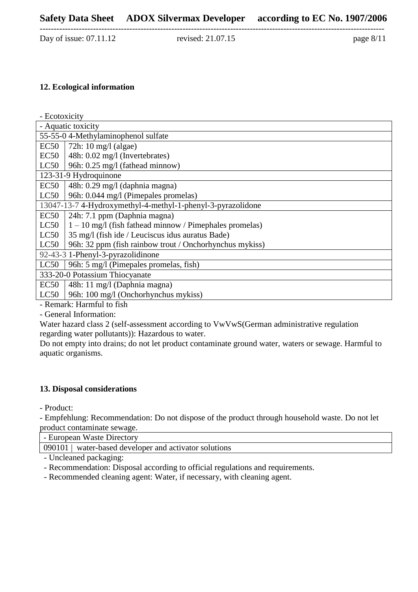Day of issue: 07.11.12 revised: 21.07.15 page 8/11

---------------------------------------------------------------------------------------------------------------------------

#### **12. Ecological information**

- Ecotoxicity

|                                     | - Aquatic toxicity                                          |  |
|-------------------------------------|-------------------------------------------------------------|--|
| 55-55-0 4-Methylaminophenol sulfate |                                                             |  |
| EC50                                | 72h: 10 mg/l (algae)                                        |  |
| EC50                                | 48h: 0.02 mg/l (Invertebrates)                              |  |
| LC50                                | 96h: 0.25 mg/l (fathead minnow)                             |  |
|                                     | 123-31-9 Hydroquinone                                       |  |
| EC50                                | 48h: 0.29 mg/l (daphnia magna)                              |  |
| LC50                                | 96h: 0.044 mg/l (Pimepales promelas)                        |  |
|                                     | 13047-13-7 4-Hydroxymethyl-4-methyl-1-phenyl-3-pyrazolidone |  |
| EC50                                | 24h: 7.1 ppm (Daphnia magna)                                |  |
| LC50                                | $1 - 10$ mg/l (fish fathead minnow / Pimephales promelas)   |  |
| LC50                                | 35 mg/l (fish ide / Leuciscus idus auratus Bade)            |  |
| LC50                                | 96h: 32 ppm (fish rainbow trout / Onchorhynchus mykiss)     |  |
|                                     | 92-43-3 1-Phenyl-3-pyrazolidinone                           |  |
| LC50                                | 96h: 5 mg/l (Pimepales promelas, fish)                      |  |
|                                     | 333-20-0 Potassium Thiocyanate                              |  |
| EC50                                | 48h: 11 mg/l (Daphnia magna)                                |  |
| LC50                                | 96h: 100 mg/l (Onchorhynchus mykiss)                        |  |

- Remark: Harmful to fish

- General Information:

Water hazard class 2 (self-assessment according to VwVwS(German administrative regulation regarding water pollutants)): Hazardous to water.

Do not empty into drains; do not let product contaminate ground water, waters or sewage. Harmful to aquatic organisms.

# **13. Disposal considerations**

- Product:

- Empfehlung: Recommendation: Do not dispose of the product through household waste. Do not let product contaminate sewage.

- European Waste Directory

090101 | water-based developer and activator solutions

- Uncleaned packaging:

- Recommendation: Disposal according to official regulations and requirements.
- Recommended cleaning agent: Water, if necessary, with cleaning agent.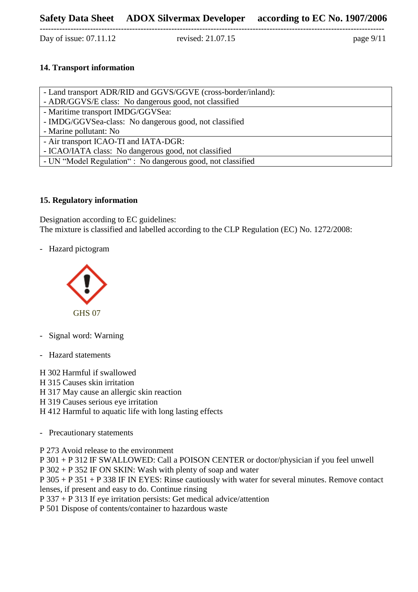Day of issue: 07.11.12 revised: 21.07.15 page 9/11

---------------------------------------------------------------------------------------------------------------------------

# **14. Transport information**

| - Land transport ADR/RID and GGVS/GGVE (cross-border/inland): |  |
|---------------------------------------------------------------|--|
| - ADR/GGVS/E class: No dangerous good, not classified         |  |
| - Maritime transport IMDG/GGVSea:                             |  |
| - IMDG/GGVSea-class: No dangerous good, not classified        |  |
| - Marine pollutant: No                                        |  |
| - Air transport ICAO-TI and IATA-DGR:                         |  |
| - ICAO/IATA class: No dangerous good, not classified          |  |
| - UN "Model Regulation": No dangerous good, not classified    |  |

# **15. Regulatory information**

Designation according to EC guidelines: The mixture is classified and labelled according to the CLP Regulation (EC) No. 1272/2008:

- Hazard pictogram



- Signal word: Warning
- Hazard statements

H 302 Harmful if swallowed H 315 Causes skin irritation

H 317 May cause an allergic skin reaction

H 319 Causes serious eye irritation

H 412 Harmful to aquatic life with long lasting effects

- Precautionary statements

P 273 Avoid release to the environment

P 301 + P 312 IF SWALLOWED: Call a POISON CENTER or doctor/physician if you feel unwell

P 302 + P 352 IF ON SKIN: Wash with plenty of soap and water

P 305 + P 351 + P 338 IF IN EYES: Rinse cautiously with water for several minutes. Remove contact lenses, if present and easy to do. Continue rinsing

P 337 + P 313 If eye irritation persists: Get medical advice/attention

P 501 Dispose of contents/container to hazardous waste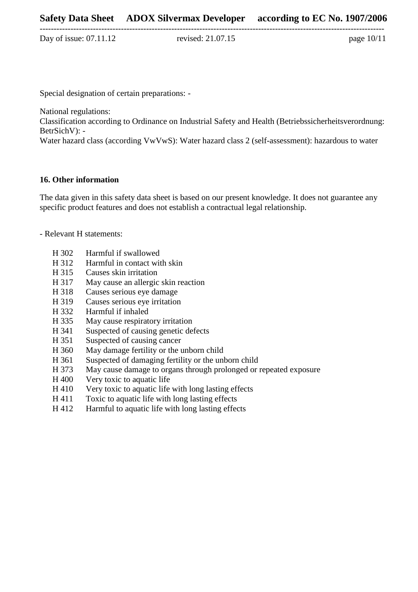Day of issue: 07.11.12 revised: 21.07.15 page 10/11

Special designation of certain preparations: -

National regulations:

Classification according to Ordinance on Industrial Safety and Health (Betriebssicherheitsverordnung: BetrSichV): -

Water hazard class (according VwVwS): Water hazard class 2 (self-assessment): hazardous to water

# **16. Other information**

The data given in this safety data sheet is based on our present knowledge. It does not guarantee any specific product features and does not establish a contractual legal relationship.

- Relevant H statements:

- H 302 Harmful if swallowed
- H 312 Harmful in contact with skin
- H 315 Causes skin irritation
- H 317 May cause an allergic skin reaction<br>H 318 Causes serious eye damage
- Causes serious eye damage
- H 319 Causes serious eye irritation
- H 332 Harmful if inhaled
- H 335 May cause respiratory irritation
- H 341 Suspected of causing genetic defects
- H 351 Suspected of causing cancer
- H 360 May damage fertility or the unborn child
- H 361 Suspected of damaging fertility or the unborn child
- H 373 May cause damage to organs through prolonged or repeated exposure
- H 400 Very toxic to aquatic life
- H 410 Very toxic to aquatic life with long lasting effects
- H 411 Toxic to aquatic life with long lasting effects
- H 412 Harmful to aquatic life with long lasting effects